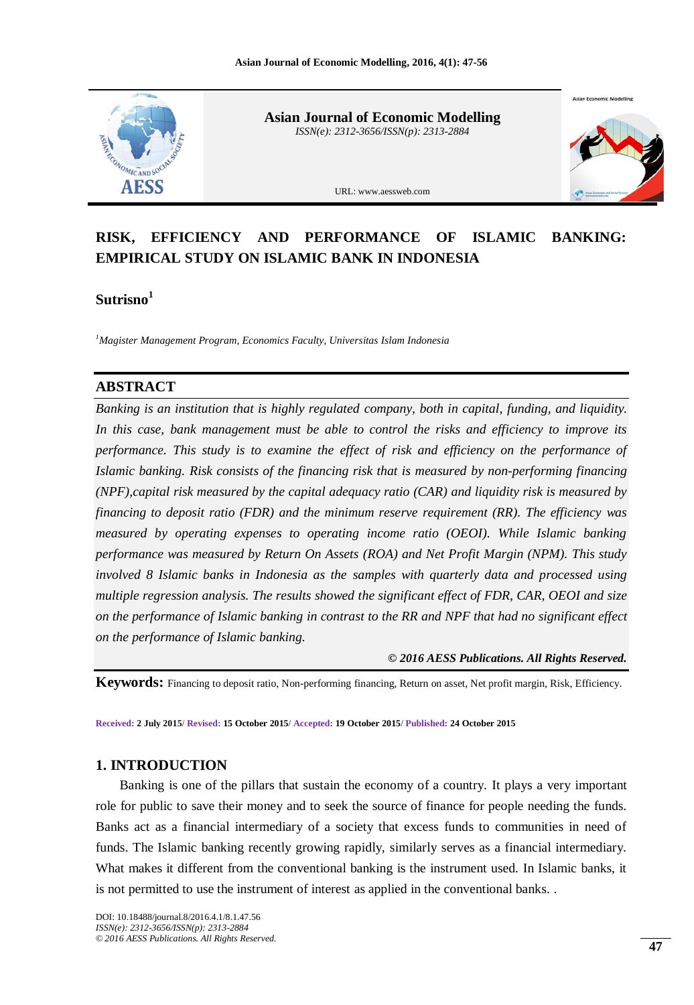

**Asian Journal of Economic Modelling** *ISSN(e): 2312-3656/ISSN(p): 2313-2884*



**Asian Economic Model** 

URL: www.aessweb.com

# **RISK, EFFICIENCY AND PERFORMANCE OF ISLAMIC BANKING: EMPIRICAL STUDY ON ISLAMIC BANK IN INDONESIA**

**Sutrisno<sup>1</sup>**

*<sup>1</sup>Magister Management Program, Economics Faculty, Universitas Islam Indonesia*

## **ABSTRACT**

*Banking is an institution that is highly regulated company, both in capital, funding, and liquidity. In this case, bank management must be able to control the risks and efficiency to improve its performance. This study is to examine the effect of risk and efficiency on the performance of Islamic banking. Risk consists of the financing risk that is measured by non-performing financing (NPF),capital risk measured by the capital adequacy ratio (CAR) and liquidity risk is measured by financing to deposit ratio (FDR) and the minimum reserve requirement (RR). The efficiency was measured by operating expenses to operating income ratio (OEOI). While Islamic banking performance was measured by Return On Assets (ROA) and Net Profit Margin (NPM). This study involved 8 Islamic banks in Indonesia as the samples with quarterly data and processed using multiple regression analysis. The results showed the significant effect of FDR, CAR, OEOI and size on the performance of Islamic banking in contrast to the RR and NPF that had no significant effect on the performance of Islamic banking.*

#### *© 2016 AESS Publications. All Rights Reserved.*

**Keywords:** Financing to deposit ratio, Non-performing financing, Return on asset, Net profit margin, Risk, Efficiency.

**Received: 2 July 2015/ Revised: 15 October 2015/ Accepted: 19 October 2015/ Published: 24 October 2015**

## **1. INTRODUCTION**

Banking is one of the pillars that sustain the economy of a country. It plays a very important role for public to save their money and to seek the source of finance for people needing the funds. Banks act as a financial intermediary of a society that excess funds to communities in need of funds. The Islamic banking recently growing rapidly, similarly serves as a financial intermediary. What makes it different from the conventional banking is the instrument used. In Islamic banks, it is not permitted to use the instrument of interest as applied in the conventional banks. .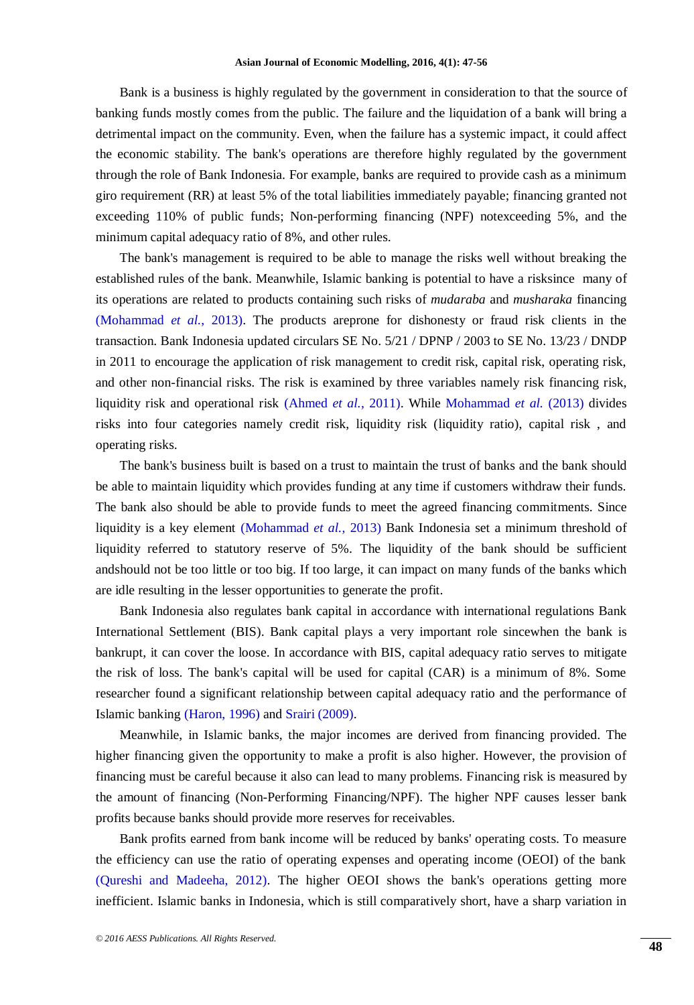Bank is a business is highly regulated by the government in consideration to that the source of banking funds mostly comes from the public. The failure and the liquidation of a bank will bring a detrimental impact on the community. Even, when the failure has a systemic impact, it could affect the economic stability. The bank's operations are therefore highly regulated by the government through the role of Bank Indonesia. For example, banks are required to provide cash as a minimum giro requirement (RR) at least 5% of the total liabilities immediately payable; financing granted not exceeding 110% of public funds; Non-performing financing (NPF) notexceeding 5%, and the minimum capital adequacy ratio of 8%, and other rules.

The bank's management is required to be able to manage the risks well without breaking the established rules of the bank. Meanwhile, Islamic banking is potential to have a risksince many of its operations are related to products containing such risks of *mudaraba* and *musharaka* financing [\(Mohammad](#page-9-0) *et al.*, 2013). The products areprone for dishonesty or fraud risk clients in the transaction. Bank Indonesia updated circulars SE No. 5/21 / DPNP / 2003 to SE No. 13/23 / DNDP in 2011 to encourage the application of risk management to credit risk, capital risk, operating risk, and other non-financial risks. The risk is examined by three variables namely risk financing risk, liquidity risk and operational risk [\(Ahmed](#page-9-1) *et al.*, 2011). While [Mohammad](#page-9-0) *et al.* (2013) divides risks into four categories namely credit risk, liquidity risk (liquidity ratio), capital risk , and operating risks.

The bank's business built is based on a trust to maintain the trust of banks and the bank should be able to maintain liquidity which provides funding at any time if customers withdraw their funds. The bank also should be able to provide funds to meet the agreed financing commitments. Since liquidity is a key element [\(Mohammad](#page-9-0) *et al.*, 2013) Bank Indonesia set a minimum threshold of liquidity referred to statutory reserve of 5%. The liquidity of the bank should be sufficient andshould not be too little or too big. If too large, it can impact on many funds of the banks which are idle resulting in the lesser opportunities to generate the profit.

Bank Indonesia also regulates bank capital in accordance with international regulations Bank International Settlement (BIS). Bank capital plays a very important role sincewhen the bank is bankrupt, it can cover the loose. In accordance with BIS, capital adequacy ratio serves to mitigate the risk of loss. The bank's capital will be used for capital (CAR) is a minimum of 8%. Some researcher found a significant relationship between capital adequacy ratio and the performance of Islamic banking [\(Haron, 1996\)](#page-9-2) and [Srairi \(2009\)](#page-9-3).

Meanwhile, in Islamic banks, the major incomes are derived from financing provided. The higher financing given the opportunity to make a profit is also higher. However, the provision of financing must be careful because it also can lead to many problems. Financing risk is measured by the amount of financing (Non-Performing Financing/NPF). The higher NPF causes lesser bank profits because banks should provide more reserves for receivables.

Bank profits earned from bank income will be reduced by banks' operating costs. To measure the efficiency can use the ratio of operating expenses and operating income (OEOI) of the bank [\(Qureshi and Madeeha, 2012\)](#page-9-4). The higher OEOI shows the bank's operations getting more inefficient. Islamic banks in Indonesia, which is still comparatively short, have a sharp variation in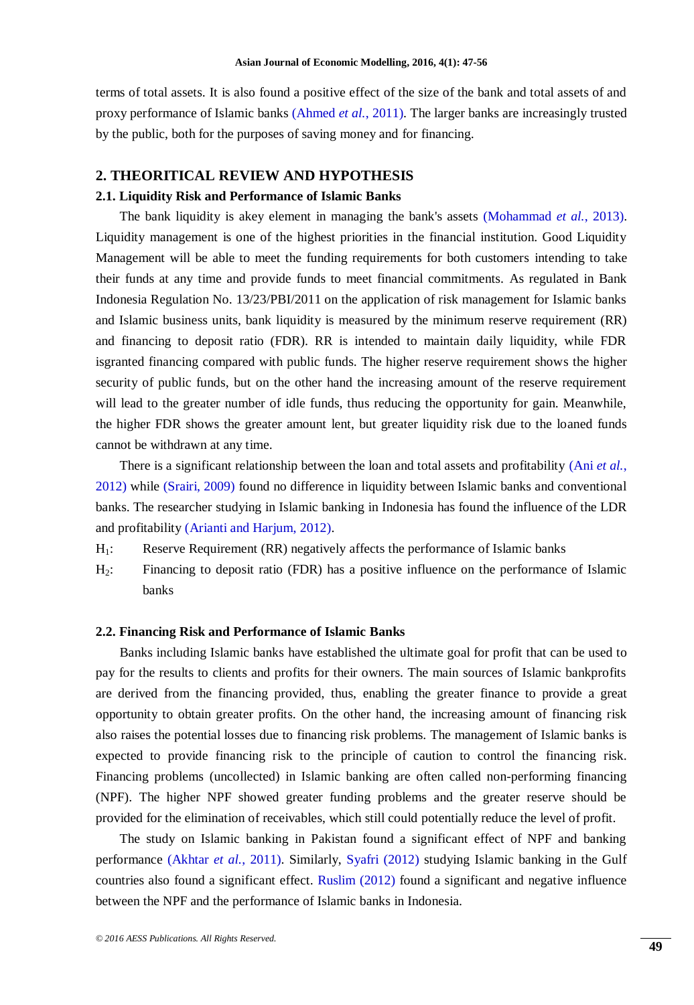terms of total assets. It is also found a positive effect of the size of the bank and total assets of and proxy performance of Islamic banks [\(Ahmed](#page-9-1) *et al.*, 2011). The larger banks are increasingly trusted by the public, both for the purposes of saving money and for financing.

## **2. THEORITICAL REVIEW AND HYPOTHESIS**

## **2.1. Liquidity Risk and Performance of Islamic Banks**

The bank liquidity is akey element in managing the bank's assets [\(Mohammad](#page-9-0) *et al.*, 2013). Liquidity management is one of the highest priorities in the financial institution. Good Liquidity Management will be able to meet the funding requirements for both customers intending to take their funds at any time and provide funds to meet financial commitments. As regulated in Bank Indonesia Regulation No. 13/23/PBI/2011 on the application of risk management for Islamic banks and Islamic business units, bank liquidity is measured by the minimum reserve requirement (RR) and financing to deposit ratio (FDR). RR is intended to maintain daily liquidity, while FDR isgranted financing compared with public funds. The higher reserve requirement shows the higher security of public funds, but on the other hand the increasing amount of the reserve requirement will lead to the greater number of idle funds, thus reducing the opportunity for gain. Meanwhile, the higher FDR shows the greater amount lent, but greater liquidity risk due to the loaned funds cannot be withdrawn at any time.

There is a significant relationship between the loan and total assets and profitability (Ani *[et al.](#page-9-5)*, [2012\)](#page-9-5) while [\(Srairi, 2009\)](#page-9-3) found no difference in liquidity between Islamic banks and conventional banks. The researcher studying in Islamic banking in Indonesia has found the influence of the LDR and profitability [\(Arianti and Harjum, 2012\)](#page-9-6).

- H1: Reserve Requirement (RR) negatively affects the performance of Islamic banks
- H2: Financing to deposit ratio (FDR) has a positive influence on the performance of Islamic banks

#### **2.2. Financing Risk and Performance of Islamic Banks**

Banks including Islamic banks have established the ultimate goal for profit that can be used to pay for the results to clients and profits for their owners. The main sources of Islamic bankprofits are derived from the financing provided, thus, enabling the greater finance to provide a great opportunity to obtain greater profits. On the other hand, the increasing amount of financing risk also raises the potential losses due to financing risk problems. The management of Islamic banks is expected to provide financing risk to the principle of caution to control the financing risk. Financing problems (uncollected) in Islamic banking are often called non-performing financing (NPF). The higher NPF showed greater funding problems and the greater reserve should be provided for the elimination of receivables, which still could potentially reduce the level of profit.

The study on Islamic banking in Pakistan found a significant effect of NPF and banking performance [\(Akhtar](#page-9-7) *et al.*, 2011). Similarly, [Syafri \(2012\)](#page-9-8) studying Islamic banking in the Gulf countries also found a significant effect. [Ruslim \(2012\)](#page-9-9) found a significant and negative influence between the NPF and the performance of Islamic banks in Indonesia.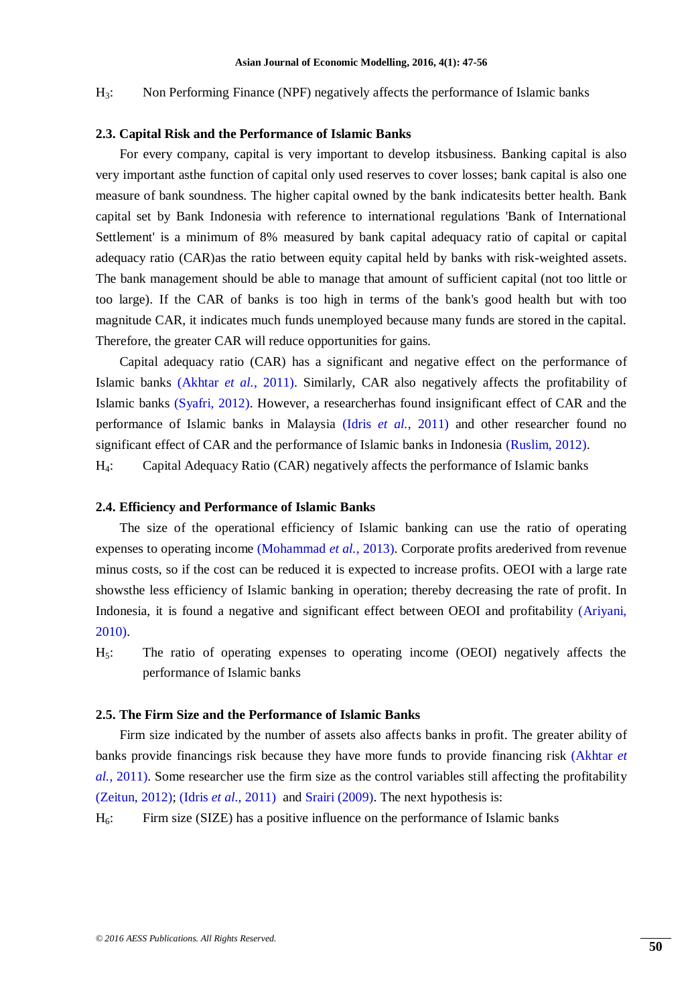H3: Non Performing Finance (NPF) negatively affects the performance of Islamic banks

#### **2.3. Capital Risk and the Performance of Islamic Banks**

For every company, capital is very important to develop itsbusiness. Banking capital is also very important asthe function of capital only used reserves to cover losses; bank capital is also one measure of bank soundness. The higher capital owned by the bank indicatesits better health. Bank capital set by Bank Indonesia with reference to international regulations 'Bank of International Settlement' is a minimum of 8% measured by bank capital adequacy ratio of capital or capital adequacy ratio (CAR)as the ratio between equity capital held by banks with risk-weighted assets. The bank management should be able to manage that amount of sufficient capital (not too little or too large). If the CAR of banks is too high in terms of the bank's good health but with too magnitude CAR, it indicates much funds unemployed because many funds are stored in the capital. Therefore, the greater CAR will reduce opportunities for gains.

Capital adequacy ratio (CAR) has a significant and negative effect on the performance of Islamic banks [\(Akhtar](#page-9-7) *et al.*, 2011). Similarly, CAR also negatively affects the profitability of Islamic banks [\(Syafri, 2012\)](#page-9-8). However, a researcherhas found insignificant effect of CAR and the performance of Islamic banks in Malaysia (Idris *et al.*[, 2011\)](#page-9-10) and other researcher found no significant effect of CAR and the performance of Islamic banks in Indonesia [\(Ruslim, 2012\)](#page-9-9).

H4: Capital Adequacy Ratio (CAR) negatively affects the performance of Islamic banks

#### **2.4. Efficiency and Performance of Islamic Banks**

The size of the operational efficiency of Islamic banking can use the ratio of operating expenses to operating income [\(Mohammad](#page-9-0) *et al.*, 2013). Corporate profits arederived from revenue minus costs, so if the cost can be reduced it is expected to increase profits. OEOI with a large rate showsthe less efficiency of Islamic banking in operation; thereby decreasing the rate of profit. In Indonesia, it is found a negative and significant effect between OEOI and profitability [\(Ariyani,](#page-9-11)  [2010\)](#page-9-11).

H5: The ratio of operating expenses to operating income (OEOI) negatively affects the performance of Islamic banks

### **2.5. The Firm Size and the Performance of Islamic Banks**

Firm size indicated by the number of assets also affects banks in profit. The greater ability of banks provide financings risk because they have more funds to provide financing risk [\(Akhtar](#page-9-7) *et al.*[, 2011\)](#page-9-7). Some researcher use the firm size as the control variables still affecting the profitability [\(Zeitun, 2012\)](#page-9-12); (Idris *et al.*[, 2011\)](#page-9-10) an[d Srairi \(2009\)](#page-9-3). The next hypothesis is:

H6: Firm size (SIZE) has a positive influence on the performance of Islamic banks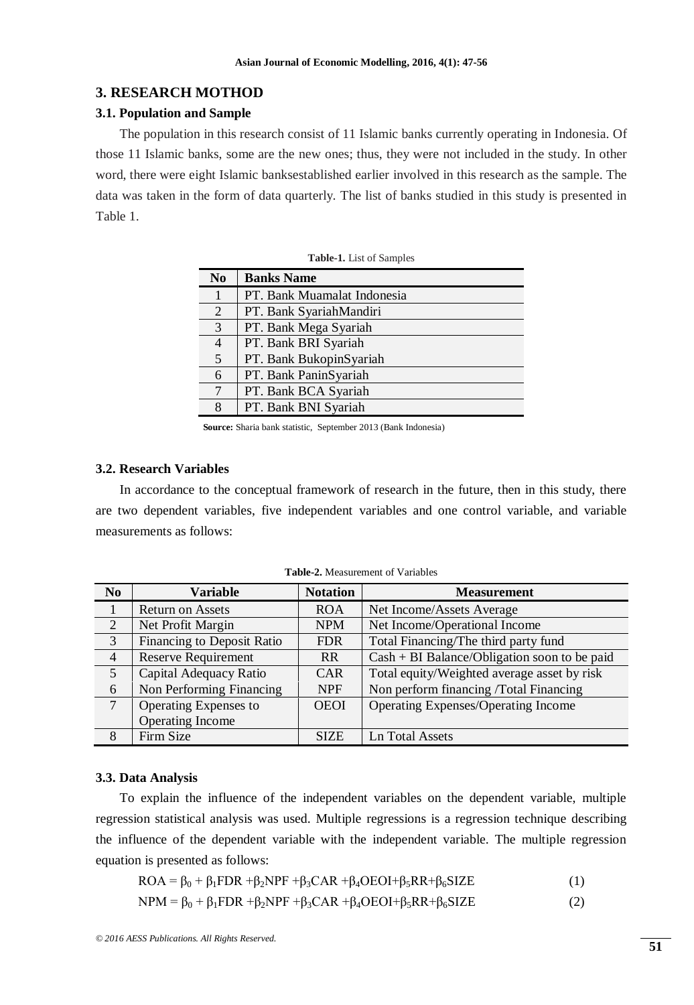## **3. RESEARCH MOTHOD**

### **3.1. Population and Sample**

The population in this research consist of 11 Islamic banks currently operating in Indonesia. Of those 11 Islamic banks, some are the new ones; thus, they were not included in the study. In other word, there were eight Islamic banksestablished earlier involved in this research as the sample. The data was taken in the form of data quarterly. The list of banks studied in this study is presented in Table 1.

| N <sub>0</sub> | <b>Banks Name</b>           |
|----------------|-----------------------------|
|                | PT. Bank Muamalat Indonesia |
| 2              | PT. Bank SyariahMandiri     |
| 3              | PT. Bank Mega Syariah       |
| 4              | PT. Bank BRI Syariah        |
| 5              | PT. Bank BukopinSyariah     |
| 6              | PT. Bank PaninSyariah       |
|                | PT. Bank BCA Syariah        |
| 8              | PT. Bank BNI Syariah        |

**Table-1.** List of Samples

 **Source:** Sharia bank statistic, September 2013 (Bank Indonesia)

## **3.2. Research Variables**

In accordance to the conceptual framework of research in the future, then in this study, there are two dependent variables, five independent variables and one control variable, and variable measurements as follows:

| <b>Variable</b>            | <b>Notation</b> | <b>Measurement</b>                             |
|----------------------------|-----------------|------------------------------------------------|
| <b>Return on Assets</b>    | <b>ROA</b>      | Net Income/Assets Average                      |
| Net Profit Margin          | <b>NPM</b>      | Net Income/Operational Income                  |
| Financing to Deposit Ratio | <b>FDR</b>      | Total Financing/The third party fund           |
| <b>Reserve Requirement</b> | R <sub>R</sub>  | $Cash + BI Balance/Obligation soon to be paid$ |
| Capital Adequacy Ratio     | <b>CAR</b>      | Total equity/Weighted average asset by risk    |
| Non Performing Financing   | <b>NPF</b>      | Non perform financing /Total Financing         |
| Operating Expenses to      | <b>OEOI</b>     | Operating Expenses/Operating Income            |
| Operating Income           |                 |                                                |
| Firm Size                  | <b>SIZE</b>     | Ln Total Assets                                |
|                            |                 |                                                |

**Table-2.** Measurement of Variables

#### **3.3. Data Analysis**

To explain the influence of the independent variables on the dependent variable, multiple regression statistical analysis was used. Multiple regressions is a regression technique describing the influence of the dependent variable with the independent variable. The multiple regression equation is presented as follows:

$$
ROA = \beta_0 + \beta_1 FDR + \beta_2 NPF + \beta_3 CAR + \beta_4 OEOI + \beta_5 RR + \beta_6 SIZE \tag{1}
$$

$$
NPM = \beta_0 + \beta_1 FDR + \beta_2 NPF + \beta_3 CAR + \beta_4 OEOI + \beta_5 RR + \beta_6 SIZE \tag{2}
$$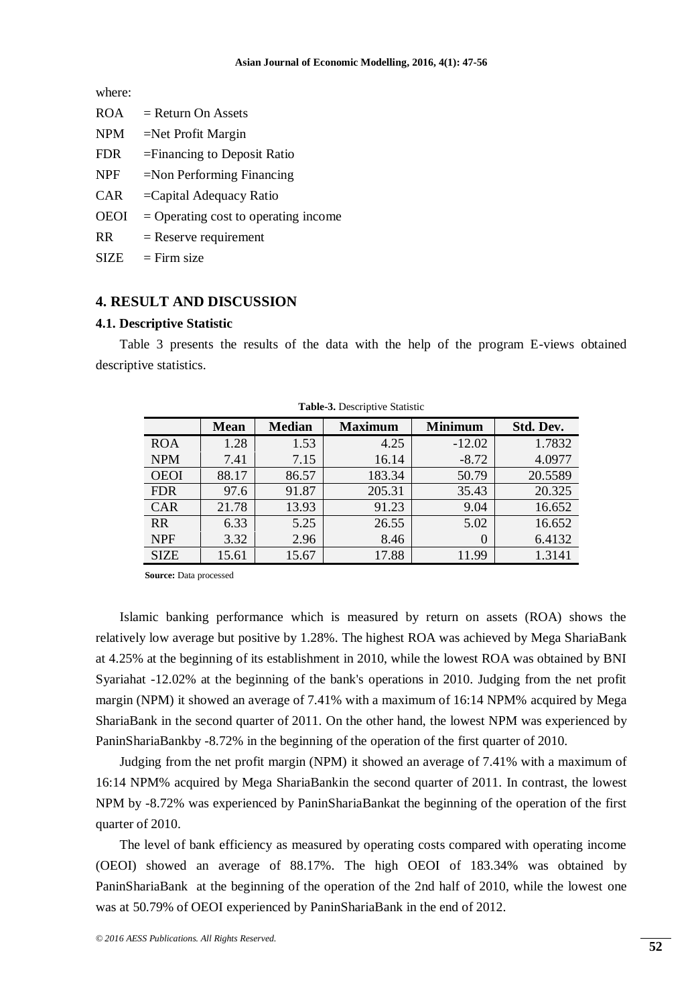where:

| <b>ROA</b>  | $=$ Return On Assets                   |
|-------------|----------------------------------------|
| <b>NPM</b>  | $=$ Net Profit Margin                  |
| <b>FDR</b>  | $=$ Financing to Deposit Ratio         |
| <b>NPF</b>  | $=$ Non Performing Financing           |
| <b>CAR</b>  | $=$ Capital Adequacy Ratio             |
| <b>OEOI</b> | $=$ Operating cost to operating income |
| <b>RR</b>   | $=$ Reserve requirement                |
| <b>SIZE</b> | $=$ Firm size                          |

## **4. RESULT AND DISCUSSION**

#### **4.1. Descriptive Statistic**

Table 3 presents the results of the data with the help of the program E-views obtained descriptive statistics.

|             | Mean  | <b>Median</b> | <b>Maximum</b> | <b>Minimum</b> | Std. Dev. |
|-------------|-------|---------------|----------------|----------------|-----------|
|             |       |               |                |                |           |
| <b>ROA</b>  | 1.28  | 1.53          | 4.25           | $-12.02$       | 1.7832    |
| <b>NPM</b>  | 7.41  | 7.15          | 16.14          | $-8.72$        | 4.0977    |
| <b>OEOI</b> | 88.17 | 86.57         | 183.34         | 50.79          | 20.5589   |
| <b>FDR</b>  | 97.6  | 91.87         | 205.31         | 35.43          | 20.325    |
| <b>CAR</b>  | 21.78 | 13.93         | 91.23          | 9.04           | 16.652    |
| <b>RR</b>   | 6.33  | 5.25          | 26.55          | 5.02           | 16.652    |
| <b>NPF</b>  | 3.32  | 2.96          | 8.46           | $\Omega$       | 6.4132    |
| <b>SIZE</b> | 15.61 | 15.67         | 17.88          | 11.99          | 1.3141    |

**Table-3.** Descriptive Statistic

 **Source:** Data processed

Islamic banking performance which is measured by return on assets (ROA) shows the relatively low average but positive by 1.28%. The highest ROA was achieved by Mega ShariaBank at 4.25% at the beginning of its establishment in 2010, while the lowest ROA was obtained by BNI Syariahat -12.02% at the beginning of the bank's operations in 2010. Judging from the net profit margin (NPM) it showed an average of 7.41% with a maximum of 16:14 NPM% acquired by Mega ShariaBank in the second quarter of 2011. On the other hand, the lowest NPM was experienced by PaninShariaBankby -8.72% in the beginning of the operation of the first quarter of 2010.

Judging from the net profit margin (NPM) it showed an average of 7.41% with a maximum of 16:14 NPM% acquired by Mega ShariaBankin the second quarter of 2011. In contrast, the lowest NPM by -8.72% was experienced by PaninShariaBankat the beginning of the operation of the first quarter of 2010.

The level of bank efficiency as measured by operating costs compared with operating income (OEOI) showed an average of 88.17%. The high OEOI of 183.34% was obtained by PaninShariaBank at the beginning of the operation of the 2nd half of 2010, while the lowest one was at 50.79% of OEOI experienced by PaninShariaBank in the end of 2012.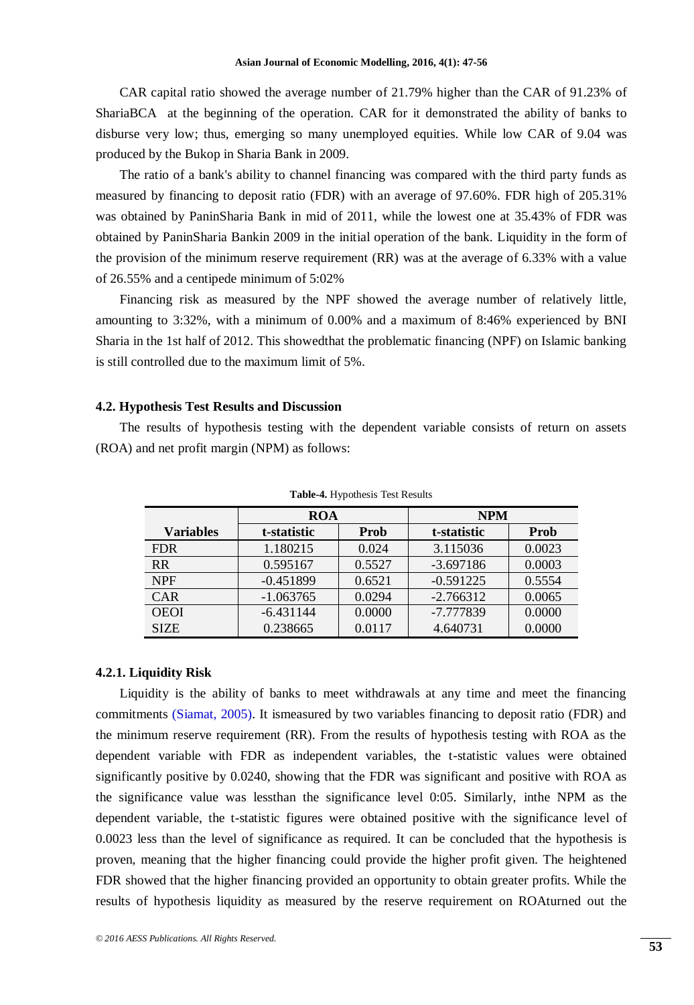CAR capital ratio showed the average number of 21.79% higher than the CAR of 91.23% of ShariaBCA at the beginning of the operation. CAR for it demonstrated the ability of banks to disburse very low; thus, emerging so many unemployed equities. While low CAR of 9.04 was produced by the Bukop in Sharia Bank in 2009.

The ratio of a bank's ability to channel financing was compared with the third party funds as measured by financing to deposit ratio (FDR) with an average of 97.60%. FDR high of 205.31% was obtained by PaninSharia Bank in mid of 2011, while the lowest one at 35.43% of FDR was obtained by PaninSharia Bankin 2009 in the initial operation of the bank. Liquidity in the form of the provision of the minimum reserve requirement (RR) was at the average of 6.33% with a value of 26.55% and a centipede minimum of 5:02%

Financing risk as measured by the NPF showed the average number of relatively little, amounting to 3:32%, with a minimum of 0.00% and a maximum of 8:46% experienced by BNI Sharia in the 1st half of 2012. This showedthat the problematic financing (NPF) on Islamic banking is still controlled due to the maximum limit of 5%.

## **4.2. Hypothesis Test Results and Discussion**

The results of hypothesis testing with the dependent variable consists of return on assets (ROA) and net profit margin (NPM) as follows:

|                  | <b>ROA</b>  |        | <b>NPM</b>  |        |
|------------------|-------------|--------|-------------|--------|
| <b>Variables</b> | t-statistic | Prob   | t-statistic | Prob   |
| <b>FDR</b>       | 1.180215    | 0.024  | 3.115036    | 0.0023 |
| <b>RR</b>        | 0.595167    | 0.5527 | $-3.697186$ | 0.0003 |
| <b>NPF</b>       | $-0.451899$ | 0.6521 | $-0.591225$ | 0.5554 |
| <b>CAR</b>       | $-1.063765$ | 0.0294 | $-2.766312$ | 0.0065 |
| <b>OEOI</b>      | $-6.431144$ | 0.0000 | -7.777839   | 0.0000 |
| <b>SIZE</b>      | 0.238665    | 0.0117 | 4.640731    | 0.0000 |

**Table-4.** Hypothesis Test Results

## **4.2.1. Liquidity Risk**

Liquidity is the ability of banks to meet withdrawals at any time and meet the financing commitments [\(Siamat, 2005\)](#page-9-13). It ismeasured by two variables financing to deposit ratio (FDR) and the minimum reserve requirement (RR). From the results of hypothesis testing with ROA as the dependent variable with FDR as independent variables, the t-statistic values were obtained significantly positive by 0.0240, showing that the FDR was significant and positive with ROA as the significance value was lessthan the significance level 0:05. Similarly, inthe NPM as the dependent variable, the t-statistic figures were obtained positive with the significance level of 0.0023 less than the level of significance as required. It can be concluded that the hypothesis is proven, meaning that the higher financing could provide the higher profit given. The heightened FDR showed that the higher financing provided an opportunity to obtain greater profits. While the results of hypothesis liquidity as measured by the reserve requirement on ROAturned out the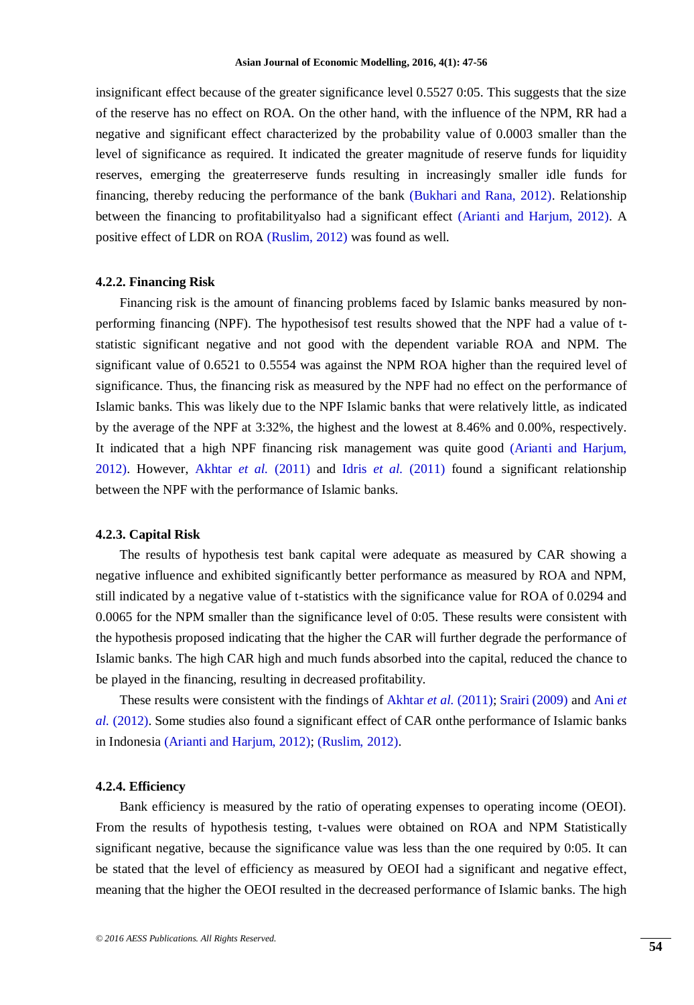insignificant effect because of the greater significance level 0.5527 0:05. This suggests that the size of the reserve has no effect on ROA. On the other hand, with the influence of the NPM, RR had a negative and significant effect characterized by the probability value of 0.0003 smaller than the level of significance as required. It indicated the greater magnitude of reserve funds for liquidity reserves, emerging the greaterreserve funds resulting in increasingly smaller idle funds for financing, thereby reducing the performance of the bank [\(Bukhari and Rana, 2012\)](#page-9-14). Relationship between the financing to profitabilityalso had a significant effect [\(Arianti and Harjum, 2012\)](#page-9-6). A positive effect of LDR on ROA [\(Ruslim, 2012\)](#page-9-9) was found as well.

#### **4.2.2. Financing Risk**

Financing risk is the amount of financing problems faced by Islamic banks measured by nonperforming financing (NPF). The hypothesisof test results showed that the NPF had a value of tstatistic significant negative and not good with the dependent variable ROA and NPM. The significant value of 0.6521 to 0.5554 was against the NPM ROA higher than the required level of significance. Thus, the financing risk as measured by the NPF had no effect on the performance of Islamic banks. This was likely due to the NPF Islamic banks that were relatively little, as indicated by the average of the NPF at 3:32%, the highest and the lowest at 8.46% and 0.00%, respectively. It indicated that a high NPF financing risk management was quite good [\(Arianti and Harjum,](#page-9-6)  [2012\)](#page-9-6). However, [Akhtar](#page-9-7) *et al.* (2011) and Idris *et al.* [\(2011\)](#page-9-10) found a significant relationship between the NPF with the performance of Islamic banks.

#### **4.2.3. Capital Risk**

The results of hypothesis test bank capital were adequate as measured by CAR showing a negative influence and exhibited significantly better performance as measured by ROA and NPM, still indicated by a negative value of t-statistics with the significance value for ROA of 0.0294 and 0.0065 for the NPM smaller than the significance level of 0:05. These results were consistent with the hypothesis proposed indicating that the higher the CAR will further degrade the performance of Islamic banks. The high CAR high and much funds absorbed into the capital, reduced the chance to be played in the financing, resulting in decreased profitability.

These results were consistent with the findings of [Akhtar](#page-9-7) *et al.* (2011); [Srairi \(2009\)](#page-9-3) and [Ani](#page-9-5) *et al.* [\(2012\)](#page-9-5). Some studies also found a significant effect of CAR onthe performance of Islamic banks in Indonesia [\(Arianti and Harjum, 2012\)](#page-9-6); [\(Ruslim, 2012\)](#page-9-9).

#### **4.2.4. Efficiency**

Bank efficiency is measured by the ratio of operating expenses to operating income (OEOI). From the results of hypothesis testing, t-values were obtained on ROA and NPM Statistically significant negative, because the significance value was less than the one required by 0:05. It can be stated that the level of efficiency as measured by OEOI had a significant and negative effect, meaning that the higher the OEOI resulted in the decreased performance of Islamic banks. The high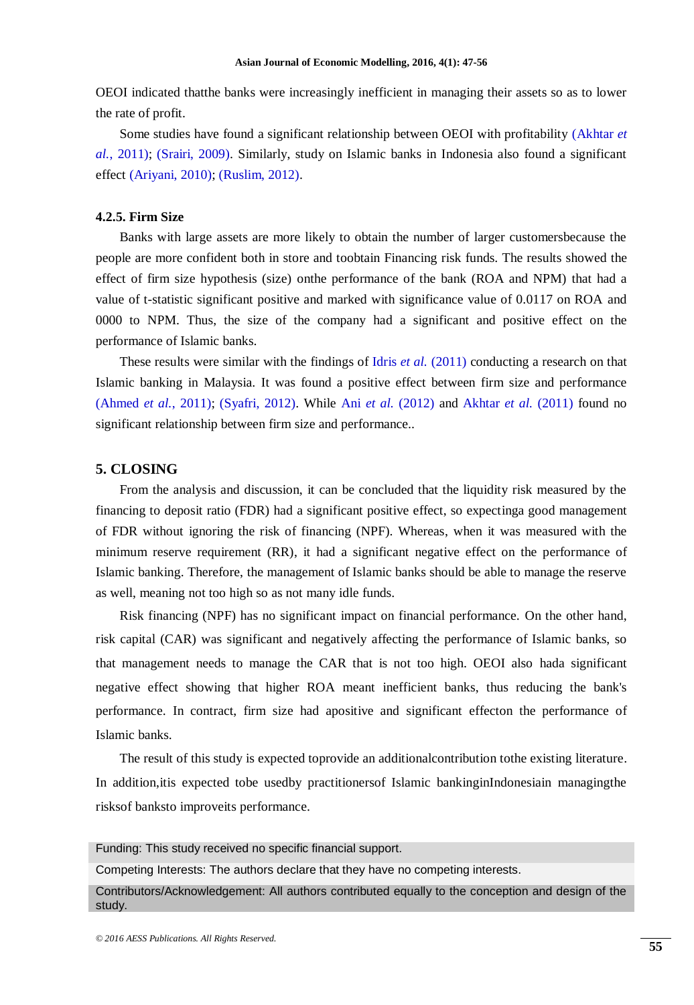OEOI indicated thatthe banks were increasingly inefficient in managing their assets so as to lower the rate of profit.

Some studies have found a significant relationship between OEOI with profitability [\(Akhtar](#page-9-7) *et al.*[, 2011\)](#page-9-7); [\(Srairi, 2009\)](#page-9-3). Similarly, study on Islamic banks in Indonesia also found a significant effect [\(Ariyani, 2010\)](#page-9-11); [\(Ruslim, 2012\)](#page-9-9).

#### **4.2.5. Firm Size**

Banks with large assets are more likely to obtain the number of larger customersbecause the people are more confident both in store and toobtain Financing risk funds. The results showed the effect of firm size hypothesis (size) onthe performance of the bank (ROA and NPM) that had a value of t-statistic significant positive and marked with significance value of 0.0117 on ROA and 0000 to NPM. Thus, the size of the company had a significant and positive effect on the performance of Islamic banks.

These results were similar with the findings of Idris *et al.* [\(2011\)](#page-9-10) conducting a research on that Islamic banking in Malaysia. It was found a positive effect between firm size and performance [\(Ahmed](#page-9-1) *et al.*, 2011); [\(Syafri, 2012\)](#page-9-8). While Ani *et al.* [\(2012\)](#page-9-5) and [Akhtar](#page-9-7) *et al.* (2011) found no significant relationship between firm size and performance..

## **5. CLOSING**

From the analysis and discussion, it can be concluded that the liquidity risk measured by the financing to deposit ratio (FDR) had a significant positive effect, so expectinga good management of FDR without ignoring the risk of financing (NPF). Whereas, when it was measured with the minimum reserve requirement (RR), it had a significant negative effect on the performance of Islamic banking. Therefore, the management of Islamic banks should be able to manage the reserve as well, meaning not too high so as not many idle funds.

Risk financing (NPF) has no significant impact on financial performance. On the other hand, risk capital (CAR) was significant and negatively affecting the performance of Islamic banks, so that management needs to manage the CAR that is not too high. OEOI also hada significant negative effect showing that higher ROA meant inefficient banks, thus reducing the bank's performance. In contract, firm size had apositive and significant effecton the performance of Islamic banks.

The result of this study is expected toprovide an additionalcontribution tothe existing literature. In addition,itis expected tobe usedby practitionersof Islamic bankinginIndonesiain managingthe risksof banksto improveits performance.

Funding: This study received no specific financial support.

Competing Interests: The authors declare that they have no competing interests.

Contributors/Acknowledgement: All authors contributed equally to the conception and design of the study.